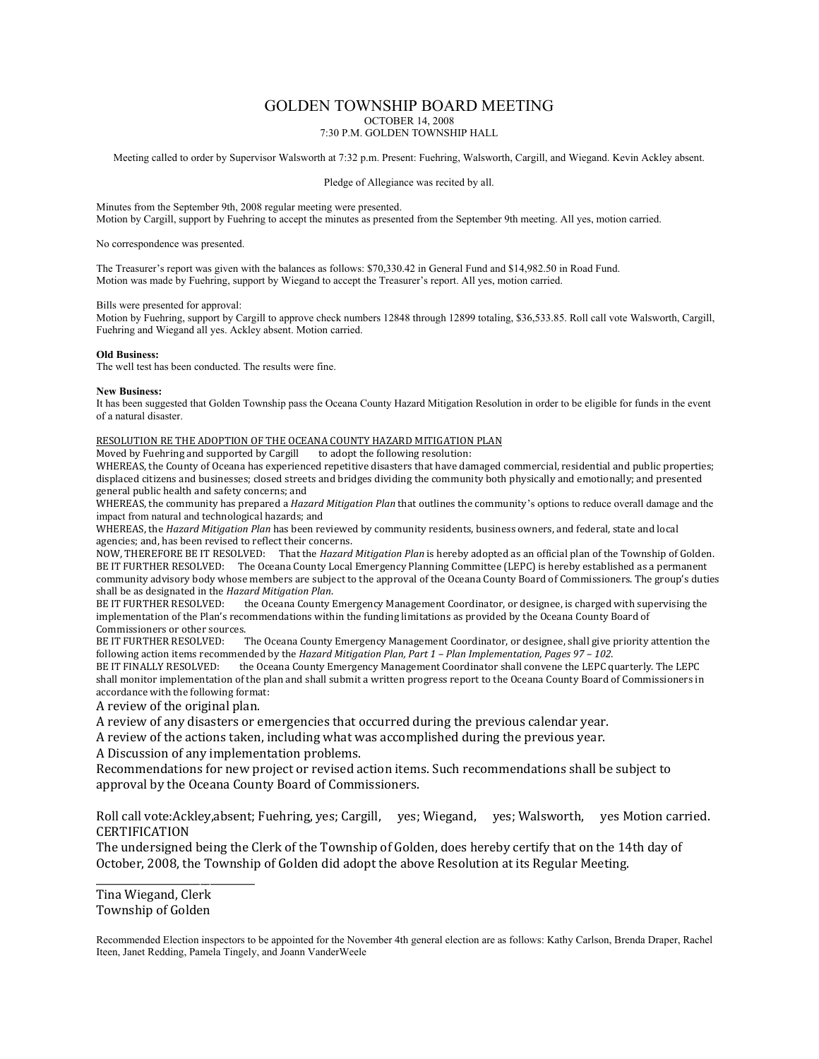# GOLDEN TOWNSHIP BOARD MEETING

OCTOBER 14, 2008

7:30 P.M. GOLDEN TOWNSHIP HALL

Meeting called to order by Supervisor Walsworth at 7:32 p.m. Present: Fuehring, Walsworth, Cargill, and Wiegand. Kevin Ackley absent.

Pledge of Allegiance was recited by all.

Minutes from the September 9th, 2008 regular meeting were presented. Motion by Cargill, support by Fuehring to accept the minutes as presented from the September 9th meeting. All yes, motion carried.

No correspondence was presented.

The Treasurer's report was given with the balances as follows: \$70,330.42 in General Fund and \$14,982.50 in Road Fund. Motion was made by Fuehring, support by Wiegand to accept the Treasurer's report. All yes, motion carried.

#### Bills were presented for approval:

Motion by Fuehring, support by Cargill to approve check numbers 12848 through 12899 totaling, \$36,533.85. Roll call vote Walsworth, Cargill, Fuehring and Wiegand all yes. Ackley absent. Motion carried.

### **Old Business:**

The well test has been conducted. The results were fine.

#### **New Business:**

It has been suggested that Golden Township pass the Oceana County Hazard Mitigation Resolution in order to be eligible for funds in the event of a natural disaster.

#### RESOLUTION RE THE ADOPTION OF THE OCEANA COUNTY HAZARD MITIGATION PLAN

Moved by Fuehring and supported by Cargill to adopt the following resolution:

WHEREAS, the County of Oceana has experienced repetitive disasters that have damaged commercial, residential and public properties; displaced citizens and businesses; closed streets and bridges dividing the community both physically and emotionally; and presented general public health and safety concerns; and

WHEREAS, the community has prepared a *Hazard Mitigation Plan* that outlines the community's options to reduce overall damage and the impact from natural and technological hazards; and

WHEREAS, the *Hazard Mitigation Plan* has been reviewed by community residents, business owners, and federal, state and local agencies; and, has been revised to reflect their concerns.

NOW, THEREFORE BE IT RESOLVED: That the *Hazard Mitigation Plan* is hereby adopted as an official plan of the Township of Golden. BE IT FURTHER RESOLVED: The Oceana County Local Emergency Planning Committee (LEPC) is hereby established as a permanent community advisory body whose members are subject to the approval of the Oceana County Board of Commissioners. The group's duties shall be as designated in the *Hazard Mitigation Plan*.

the Oceana County Emergency Management Coordinator, or designee, is charged with supervising the implementation of the Plan's recommendations within the funding limitations as provided by the Oceana County Board of Commissioners or other sources.

BE IT FURTHER RESOLVED: The Oceana County Emergency Management Coordinator, or designee, shall give priority attention the following action items recommended by the *Hazard Mitigation Plan, Part 1 – Plan Implementation, Pages 97 – 102.*

BE IT FINALLY RESOLVED: the Oceana County Emergency Management Coordinator shall convene the LEPC quarterly. The LEPC shall monitor implementation of the plan and shall submit a written progress report to the Oceana County Board of Commissioners in accordance with the following format:

A review of the original plan.

A review of any disasters or emergencies that occurred during the previous calendar year.

A review of the actions taken, including what was accomplished during the previous year.

A Discussion of any implementation problems.

Recommendations for new project or revised action items. Such recommendations shall be subject to approval by the Oceana County Board of Commissioners.

Roll call vote:Ackley,absent; Fuehring, yes; Cargill, yes; Wiegand, yes; Walsworth, yes Motion carried. **CERTIFICATION** 

The undersigned being the Clerk of the Township of Golden, does hereby certify that on the 14th day of October, 2008, the Township of Golden did adopt the above Resolution at its Regular Meeting.

Tina Wiegand, Clerk Township of Golden

\_\_\_\_\_\_\_\_\_\_\_\_\_\_\_\_\_\_\_\_\_\_\_\_\_\_\_\_\_\_\_\_

Recommended Election inspectors to be appointed for the November 4th general election are as follows: Kathy Carlson, Brenda Draper, Rachel Iteen, Janet Redding, Pamela Tingely, and Joann VanderWeele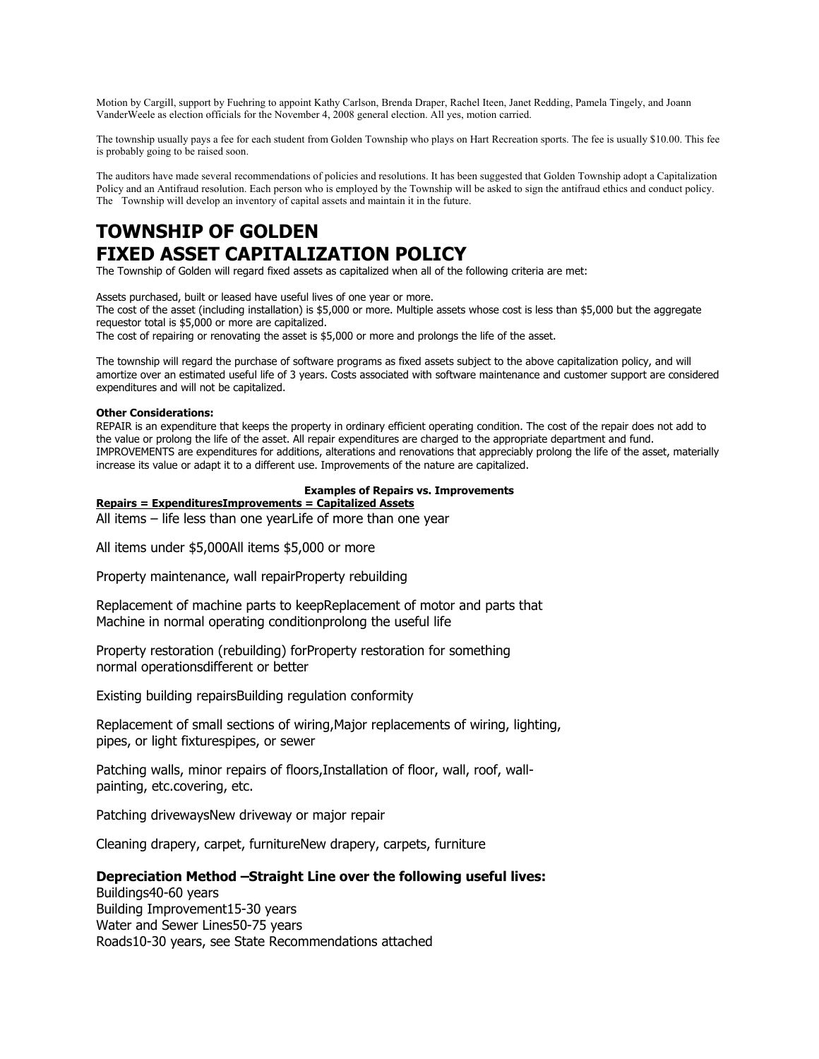Motion by Cargill, support by Fuehring to appoint Kathy Carlson, Brenda Draper, Rachel Iteen, Janet Redding, Pamela Tingely, and Joann VanderWeele as election officials for the November 4, 2008 general election. All yes, motion carried.

The township usually pays a fee for each student from Golden Township who plays on Hart Recreation sports. The fee is usually \$10.00. This fee is probably going to be raised soon.

The auditors have made several recommendations of policies and resolutions. It has been suggested that Golden Township adopt a Capitalization Policy and an Antifraud resolution. Each person who is employed by the Township will be asked to sign the antifraud ethics and conduct policy. The Township will develop an inventory of capital assets and maintain it in the future.

# **TOWNSHIP OF GOLDEN FIXED ASSET CAPITALIZATION POLICY**

The Township of Golden will regard fixed assets as capitalized when all of the following criteria are met:

Assets purchased, built or leased have useful lives of one year or more.

The cost of the asset (including installation) is \$5,000 or more. Multiple assets whose cost is less than \$5,000 but the aggregate requestor total is \$5,000 or more are capitalized.

The cost of repairing or renovating the asset is \$5,000 or more and prolongs the life of the asset.

The township will regard the purchase of software programs as fixed assets subject to the above capitalization policy, and will amortize over an estimated useful life of 3 years. Costs associated with software maintenance and customer support are considered expenditures and will not be capitalized.

#### **Other Considerations:**

REPAIR is an expenditure that keeps the property in ordinary efficient operating condition. The cost of the repair does not add to the value or prolong the life of the asset. All repair expenditures are charged to the appropriate department and fund. IMPROVEMENTS are expenditures for additions, alterations and renovations that appreciably prolong the life of the asset, materially increase its value or adapt it to a different use. Improvements of the nature are capitalized.

#### **Examples of Repairs vs. Improvements**

**Repairs = ExpendituresImprovements = Capitalized Assets** 

All items – life less than one yearLife of more than one year

All items under \$5,000All items \$5,000 or more

Property maintenance, wall repairProperty rebuilding

Replacement of machine parts to keepReplacement of motor and parts that Machine in normal operating conditionprolong the useful life

Property restoration (rebuilding) forProperty restoration for something normal operationsdifferent or better

Existing building repairsBuilding regulation conformity

Replacement of small sections of wiring,Major replacements of wiring, lighting, pipes, or light fixturespipes, or sewer

Patching walls, minor repairs of floors, Installation of floor, wall, roof, wallpainting, etc.covering, etc.

Patching drivewaysNew driveway or major repair

Cleaning drapery, carpet, furnitureNew drapery, carpets, furniture

# **Depreciation Method –Straight Line over the following useful lives:**

Buildings40-60 years Building Improvement15-30 years Water and Sewer Lines50-75 years Roads10-30 years, see State Recommendations attached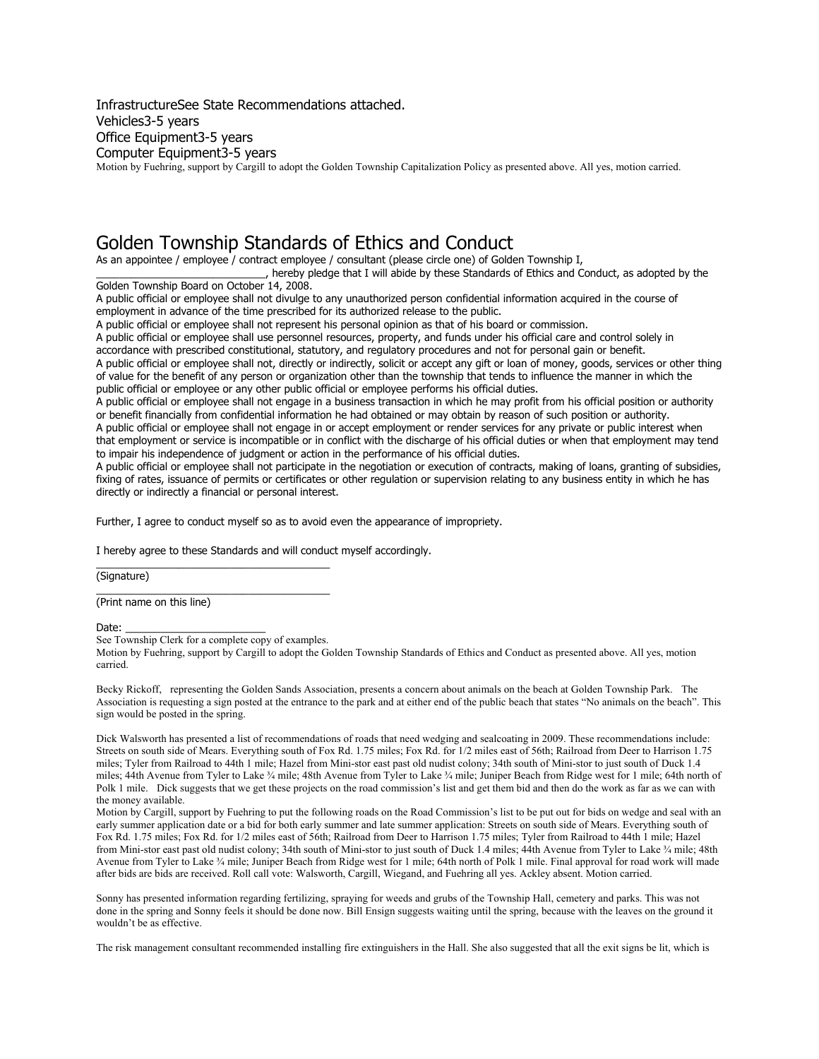InfrastructureSee State Recommendations attached. Vehicles3-5 years Office Equipment3-5 years Computer Equipment3-5 years Motion by Fuehring, support by Cargill to adopt the Golden Township Capitalization Policy as presented above. All yes, motion carried.

# Golden Township Standards of Ethics and Conduct

As an appointee / employee / contract employee / consultant (please circle one) of Golden Township I,

\_\_\_\_\_\_\_\_\_\_\_\_\_\_\_\_\_\_\_\_\_\_\_\_\_\_\_\_\_, hereby pledge that I will abide by these Standards of Ethics and Conduct, as adopted by the Golden Township Board on October 14, 2008.

A public official or employee shall not divulge to any unauthorized person confidential information acquired in the course of employment in advance of the time prescribed for its authorized release to the public.

A public official or employee shall not represent his personal opinion as that of his board or commission.

A public official or employee shall use personnel resources, property, and funds under his official care and control solely in accordance with prescribed constitutional, statutory, and regulatory procedures and not for personal gain or benefit.

A public official or employee shall not, directly or indirectly, solicit or accept any gift or loan of money, goods, services or other thing of value for the benefit of any person or organization other than the township that tends to influence the manner in which the public official or employee or any other public official or employee performs his official duties.

A public official or employee shall not engage in a business transaction in which he may profit from his official position or authority or benefit financially from confidential information he had obtained or may obtain by reason of such position or authority. A public official or employee shall not engage in or accept employment or render services for any private or public interest when

that employment or service is incompatible or in conflict with the discharge of his official duties or when that employment may tend to impair his independence of judgment or action in the performance of his official duties.

A public official or employee shall not participate in the negotiation or execution of contracts, making of loans, granting of subsidies, fixing of rates, issuance of permits or certificates or other regulation or supervision relating to any business entity in which he has directly or indirectly a financial or personal interest.

Further, I agree to conduct myself so as to avoid even the appearance of impropriety.

I hereby agree to these Standards and will conduct myself accordingly.

(Signature)

\_\_\_\_\_\_\_\_\_\_\_\_\_\_\_\_\_\_\_\_\_\_\_\_\_\_\_\_\_\_\_\_\_\_\_\_\_\_\_\_ (Print name on this line)

Date:

See Township Clerk for a complete copy of examples.

\_\_\_\_\_\_\_\_\_\_\_\_\_\_\_\_\_\_\_\_\_\_\_\_\_\_\_\_\_\_\_\_\_\_\_\_\_\_\_\_

Motion by Fuehring, support by Cargill to adopt the Golden Township Standards of Ethics and Conduct as presented above. All yes, motion carried.

Becky Rickoff, representing the Golden Sands Association, presents a concern about animals on the beach at Golden Township Park. The Association is requesting a sign posted at the entrance to the park and at either end of the public beach that states "No animals on the beach". This sign would be posted in the spring.

Dick Walsworth has presented a list of recommendations of roads that need wedging and sealcoating in 2009. These recommendations include: Streets on south side of Mears. Everything south of Fox Rd. 1.75 miles; Fox Rd. for 1/2 miles east of 56th; Railroad from Deer to Harrison 1.75 miles; Tyler from Railroad to 44th 1 mile; Hazel from Mini-stor east past old nudist colony; 34th south of Mini-stor to just south of Duck 1.4 miles; 44th Avenue from Tyler to Lake ¾ mile; 48th Avenue from Tyler to Lake ¾ mile; Juniper Beach from Ridge west for 1 mile; 64th north of Polk 1 mile. Dick suggests that we get these projects on the road commission's list and get them bid and then do the work as far as we can with the money available.

Motion by Cargill, support by Fuehring to put the following roads on the Road Commission's list to be put out for bids on wedge and seal with an early summer application date or a bid for both early summer and late summer application: Streets on south side of Mears. Everything south of Fox Rd. 1.75 miles; Fox Rd. for 1/2 miles east of 56th; Railroad from Deer to Harrison 1.75 miles; Tyler from Railroad to 44th 1 mile; Hazel from Mini-stor east past old nudist colony; 34th south of Mini-stor to just south of Duck 1.4 miles; 44th Avenue from Tyler to Lake ¾ mile; 48th Avenue from Tyler to Lake ¾ mile; Juniper Beach from Ridge west for 1 mile; 64th north of Polk 1 mile. Final approval for road work will made after bids are bids are received. Roll call vote: Walsworth, Cargill, Wiegand, and Fuehring all yes. Ackley absent. Motion carried.

Sonny has presented information regarding fertilizing, spraying for weeds and grubs of the Township Hall, cemetery and parks. This was not done in the spring and Sonny feels it should be done now. Bill Ensign suggests waiting until the spring, because with the leaves on the ground it wouldn't be as effective.

The risk management consultant recommended installing fire extinguishers in the Hall. She also suggested that all the exit signs be lit, which is